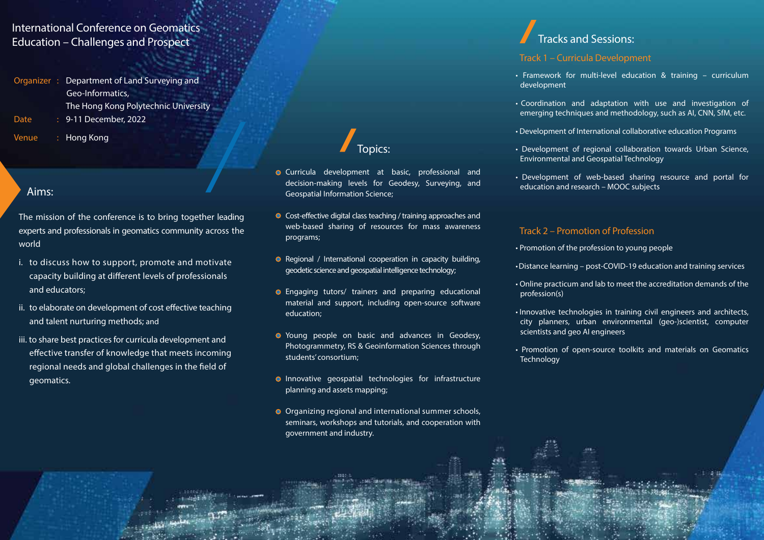### International Conference on Geomatics Education – Challenges and Prospect

- **Organizer : Department of Land Surveying and Geo-Informatics, The Hong Kong Polytechnic University Date : 9-11 December, 2022**
- **Venue : Hong Kong**

#### Aims:

- The mission of the conference is to bring together leading experts and professionals in geomatics community across the world
- i. to discuss how to support, promote and motivate capacity building at different levels of professionals and educators;
- ii. to elaborate on development of cost effective teaching and talent nurturing methods; and
- iii. to share best practices for curricula development and effective transfer of knowledge that meets incoming regional needs and global challenges in the field of geomatics.

## Topics:

- **O** Curricula development at basic, professional and decision-making levels for Geodesy, Surveying, and Geospatial Information Science;
- $\bullet$  Cost-effective digital class teaching / training approaches and web-based sharing of resources for mass awareness programs;
- **•** Regional / International cooperation in capacity building, geodetic science and geospatial intelligence technology;
- Engaging tutors/ trainers and preparing educational material and support, including open-source software education;
- **•** Young people on basic and advances in Geodesy, Photogrammetry, RS & Geoinformation Sciences through students' consortium;
- **O** Innovative geospatial technologies for infrastructure planning and assets mapping;
- Organizing regional and international summer schools, seminars, workshops and tutorials, and cooperation with government and industry.

## Tracks and Sessions:

#### **Track 1 – Curricula Development**

- Framework for multi‐level education & training curriculum development
- Coordination and adaptation with use and investigation of emerging techniques and methodology, such as AI, CNN, SfM, etc.
- Development of International collaborative education Programs
- Development of regional collaboration towards Urban Science, Environmental and Geospatial Technology
- Development of web-based sharing resource and portal for education and research – MOOC subjects

#### **Track 2 – Promotion of Profession**

- Promotion of the profession to young people
- •Distance learning post-COVID-19 education and training services
- Online practicum and lab to meet the accreditation demands of the profession(s)
- Innovative technologies in training civil engineers and architects, city planners, urban environmental (geo-)scientist, computer scientists and geo AI engineers
- Promotion of open-source toolkits and materials on Geomatics **Technology**